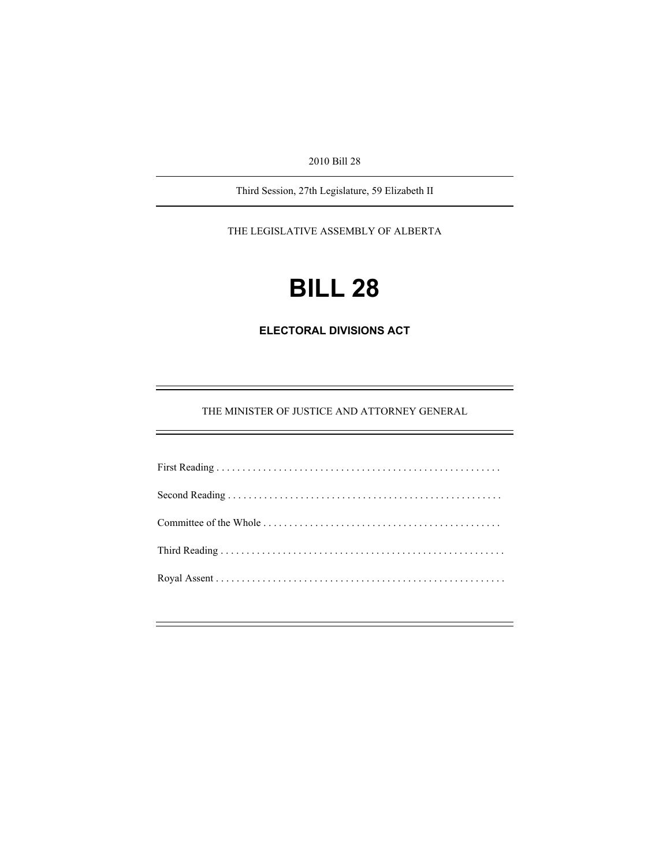2010 Bill 28

Third Session, 27th Legislature, 59 Elizabeth II

THE LEGISLATIVE ASSEMBLY OF ALBERTA

# **BILL 28**

**ELECTORAL DIVISIONS ACT** 

THE MINISTER OF JUSTICE AND ATTORNEY GENERAL

e<br>H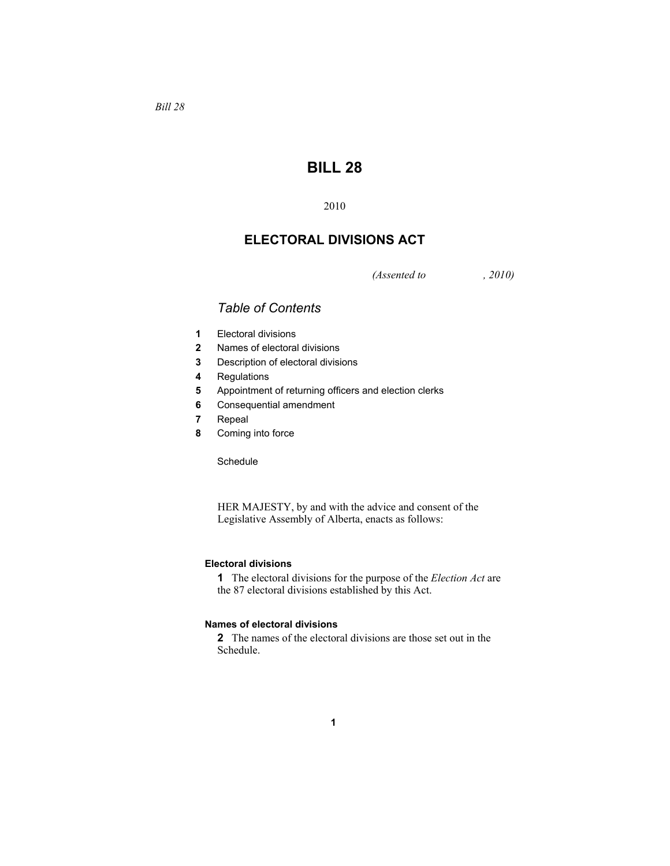## **BILL 28**

2010

### **ELECTORAL DIVISIONS ACT**

*(Assented to , 2010)* 

## *Table of Contents*

- **1** Electoral divisions
- **2** Names of electoral divisions
- **3** Description of electoral divisions
- **4** Regulations
- **5** Appointment of returning officers and election clerks
- **6** Consequential amendment
- **7** Repeal
- **8** Coming into force

**Schedule** 

HER MAJESTY, by and with the advice and consent of the Legislative Assembly of Alberta, enacts as follows:

#### **Electoral divisions**

**1** The electoral divisions for the purpose of the *Election Act* are the 87 electoral divisions established by this Act.

#### **Names of electoral divisions**

**2** The names of the electoral divisions are those set out in the Schedule.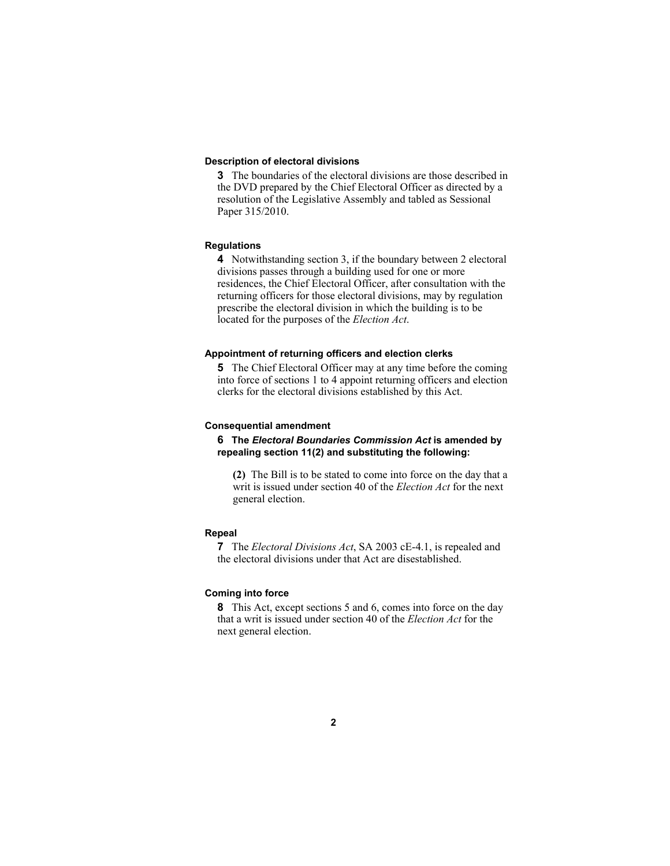#### **Description of electoral divisions**

**3** The boundaries of the electoral divisions are those described in the DVD prepared by the Chief Electoral Officer as directed by a resolution of the Legislative Assembly and tabled as Sessional Paper 315/2010.

#### **Regulations**

**4** Notwithstanding section 3, if the boundary between 2 electoral divisions passes through a building used for one or more residences, the Chief Electoral Officer, after consultation with the returning officers for those electoral divisions, may by regulation prescribe the electoral division in which the building is to be located for the purposes of the *Election Act*.

#### **Appointment of returning officers and election clerks**

**5** The Chief Electoral Officer may at any time before the coming into force of sections 1 to 4 appoint returning officers and election clerks for the electoral divisions established by this Act.

#### **Consequential amendment**

**6 The** *Electoral Boundaries Commission Act* **is amended by repealing section 11(2) and substituting the following:**

**(2)** The Bill is to be stated to come into force on the day that a writ is issued under section 40 of the *Election Act* for the next general election.

#### **Repeal**

**7** The *Electoral Divisions Act*, SA 2003 cE-4.1, is repealed and the electoral divisions under that Act are disestablished.

#### **Coming into force**

**8** This Act, except sections 5 and 6, comes into force on the day that a writ is issued under section 40 of the *Election Act* for the next general election.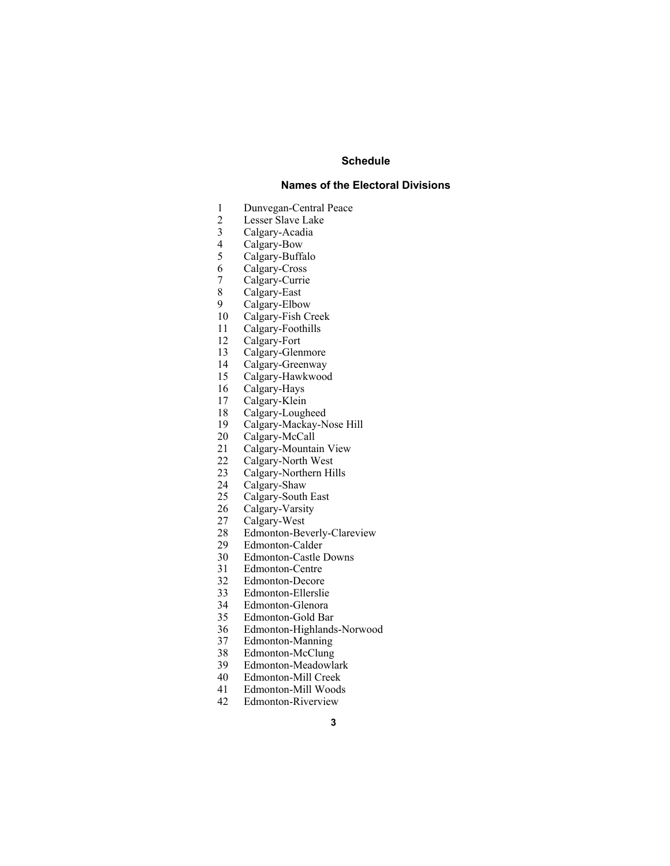#### **Schedule**

#### **Names of the Electoral Divisions**

- 1 Dunvegan-Central Peace
- 2 Lesser Slave Lake<br>3 Calgary-Acadia
- 3 Calgary-Acadia
- 
- 4 Calgary-Bow<br>5 Calgary-Buffa Calgary-Buffalo
- 6 Calgary-Cross
- Calgary-Currie
- 8 Calgary-East
- 
- 9 Calgary-Elbow<br>10 Calgary-Fish Ci Calgary-Fish Creek
- 11 Calgary-Foothills
- 12 Calgary-Fort
- 13 Calgary-Glenmore
- 14 Calgary-Greenway
- 15 Calgary-Hawkwood
- 16 Calgary-Hays
- 17 Calgary-Klein
- 18 Calgary-Lougheed
- 19 Calgary-Mackay-Nose Hill
- 20 Calgary-McCall
- 21 Calgary-Mountain View<br>22 Calgary-North West
- Calgary-North West
- 23 Calgary-Northern Hills
- 24 Calgary-Shaw<br>25 Calgary-South
- Calgary-South East
- 26 Calgary-Varsity
- 27 Calgary-West<br>28 Edmonton-Bev
- 28 Edmonton-Beverly-Clareview<br>29 Edmonton-Calder
- Edmonton-Calder
- 30 Edmonton-Castle Downs
- 31 Edmonton-Centre
- 32 Edmonton-Decore
- 
- 33 Edmonton-Ellerslie Edmonton-Glenora
- 35 Edmonton-Gold Bar
- 36 Edmonton-Highlands-Norwood
- 37 Edmonton-Manning
- 38 Edmonton-McClung
- 39 Edmonton-Meadowlark<br>40 Edmonton-Mill Creek
- Edmonton-Mill Creek
- 41 Edmonton-Mill Woods
- 42 Edmonton-Riverview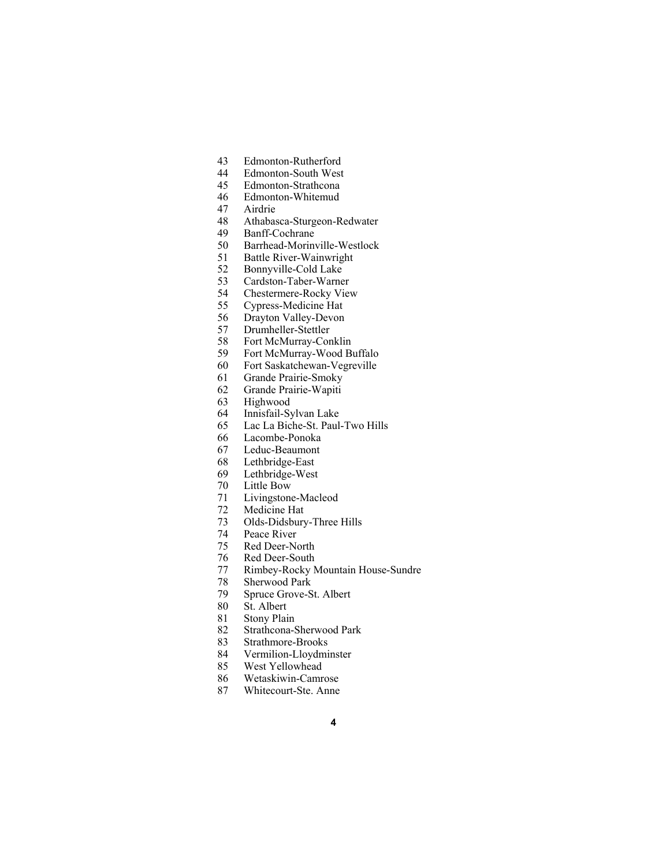- 43 Edmonton-Rutherford
- 44 Edmonton-South West
- 45 Edmonton-Strathcona
- 46 Edmonton-Whitemud
- 47 Airdrie
- Athabasca-Sturgeon-Redwater
- 49 Banff-Cochrane
- 50 Barrhead-Morinville-Westlock
- 51 Battle River-Wainwright
- 52 Bonnyville-Cold Lake
- 53 Cardston-Taber-Warner<br>54 Chestermere-Rocky View
- Chestermere-Rocky View
- 55 Cypress-Medicine Hat
- 56 Drayton Valley-Devon
- 57 Drumheller-Stettler
- 58 Fort McMurray-Conklin
- 59 Fort McMurray-Wood Buffalo
- 60 Fort Saskatchewan-Vegreville
- 61 Grande Prairie-Smoky
- 62 Grande Prairie-Wapiti
- 63 Highwood
- 64 Innisfail-Sylvan Lake
- 65 Lac La Biche-St. Paul-Two Hills
- 66 Lacombe-Ponoka
- 67 Leduc-Beaumont
- 68 Lethbridge-East
- 69 Lethbridge-West
- 70 Little Bow
- 71 Livingstone-Macleod
- 72 Medicine Hat
- 73 Olds-Didsbury-Three Hills
- 74 Peace River
- 75 Red Deer-North
- 76 Red Deer-South
- 77 Rimbey-Rocky Mountain House-Sundre
- Sherwood Park
- 79 Spruce Grove-St. Albert
- 80 St. Albert
- 81 Stony Plain
- 82 Strathcona-Sherwood Park
- 83 Strathmore-Brooks<br>84 Vermilion-Lloydmi
- Vermilion-Lloydminster
- 85 West Yellowhead
- 86 Wetaskiwin-Camrose
- 87 Whitecourt-Ste. Anne